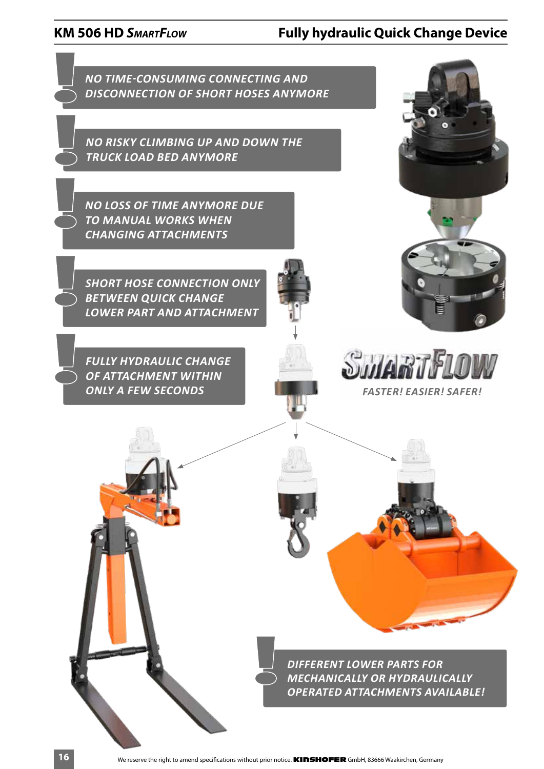# **KM 506 HD** *SmartFlow* **Fully hydraulic Quick Change Device**